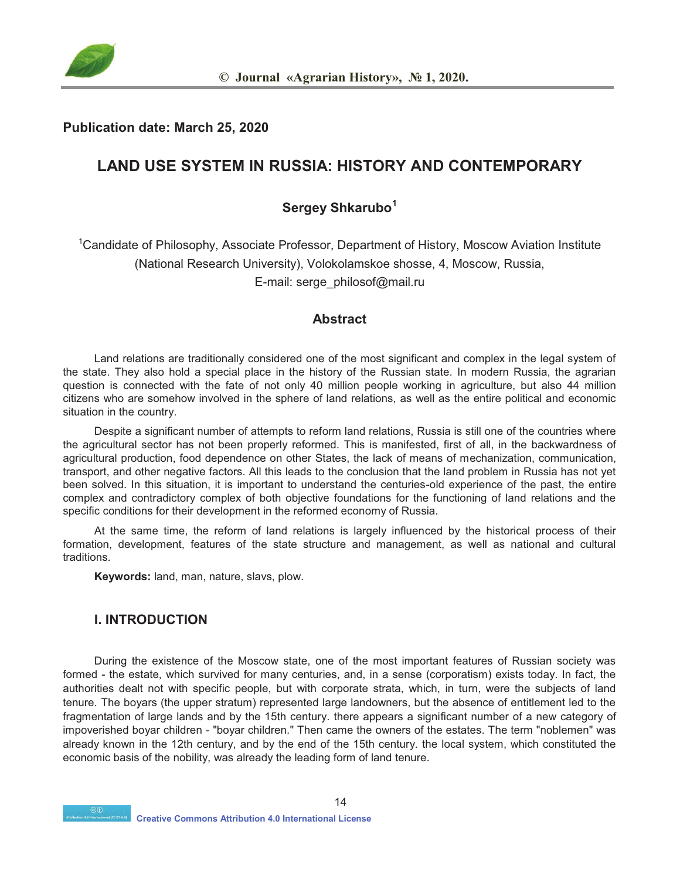

#### **Publication date: March 25, 2020**

# **LAND USE SYSTEM IN RUSSIA: HISTORY AND CONTEMPORARY**

# **Sergey Shkarubo<sup>1</sup>**

<sup>1</sup>Candidate of Philosophy, Associate Professor, Department of History, Moscow Aviation Institute (National Research University), Volokolamskoe shosse, 4, Moscow, Russia, E-mail: serge\_philosof@mail.ru

## **Abstract**

Land relations are traditionally considered one of the most significant and complex in the legal system of the state. They also hold a special place in the history of the Russian state. In modern Russia, the agrarian question is connected with the fate of not only 40 million people working in agriculture, but also 44 million citizens who are somehow involved in the sphere of land relations, as well as the entire political and economic situation in the country.

Despite a significant number of attempts to reform land relations, Russia is still one of the countries where the agricultural sector has not been properly reformed. This is manifested, first of all, in the backwardness of agricultural production, food dependence on other States, the lack of means of mechanization, communication, transport, and other negative factors. All this leads to the conclusion that the land problem in Russia has not yet been solved. In this situation, it is important to understand the centuries-old experience of the past, the entire complex and contradictory complex of both objective foundations for the functioning of land relations and the specific conditions for their development in the reformed economy of Russia.

At the same time, the reform of land relations is largely influenced by the historical process of their formation, development, features of the state structure and management, as well as national and cultural traditions.

**Keywords:** land, man, nature, slavs, plow.

## **I. INTRODUCTION**

During the existence of the Moscow state, one of the most important features of Russian society was formed - the estate, which survived for many centuries, and, in a sense (corporatism) exists today. In fact, the authorities dealt not with specific people, but with corporate strata, which, in turn, were the subjects of land tenure. The boyars (the upper stratum) represented large landowners, but the absence of entitlement led to the fragmentation of large lands and by the 15th century. there appears a significant number of a new category of impoverished boyar children - "boyar children." Then came the owners of the estates. The term "noblemen" was already known in the 12th century, and by the end of the 15th century. the local system, which constituted the economic basis of the nobility, was already the leading form of land tenure.

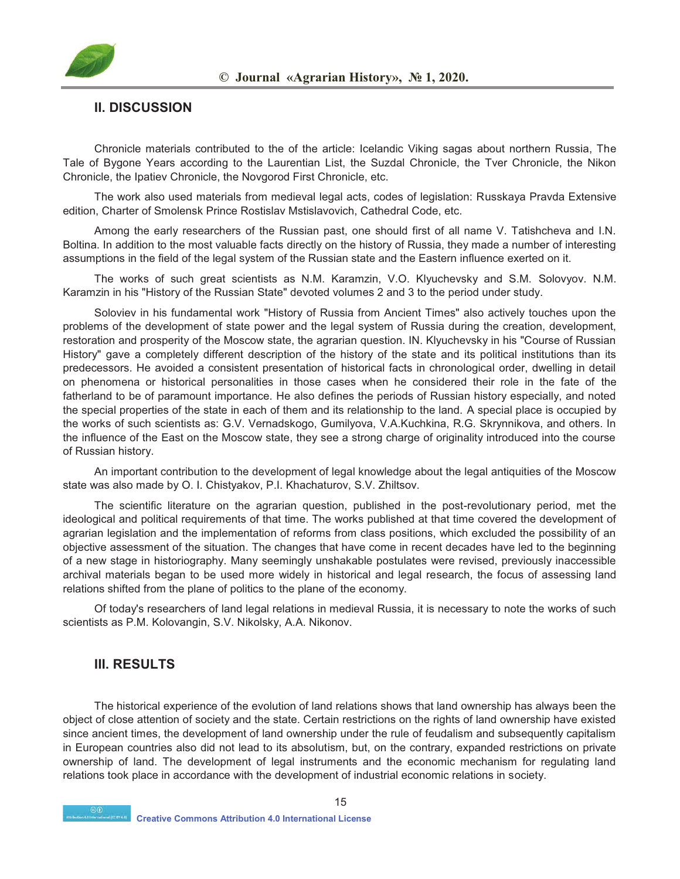

#### **II. DISCUSSION**

Chronicle materials contributed to the of the article: Icelandic Viking sagas about northern Russia, The Tale of Bygone Years according to the Laurentian List, the Suzdal Chronicle, the Tver Chronicle, the Nikon Chronicle, the Ipatiev Chronicle, the Novgorod First Chronicle, etc.

The work also used materials from medieval legal acts, codes of legislation: Russkaya Pravda Extensive edition, Charter of Smolensk Prince Rostislav Mstislavovich, Cathedral Code, etc.

Among the early researchers of the Russian past, one should first of all name V. Tatishcheva and I.N. Boltina. In addition to the most valuable facts directly on the history of Russia, they made a number of interesting assumptions in the field of the legal system of the Russian state and the Eastern influence exerted on it.

The works of such great scientists as N.M. Karamzin, V.O. Klyuchevsky and S.M. Solovyov. N.M. Karamzin in his "History of the Russian State" devoted volumes 2 and 3 to the period under study.

Soloviev in his fundamental work "History of Russia from Ancient Times" also actively touches upon the problems of the development of state power and the legal system of Russia during the creation, development, restoration and prosperity of the Moscow state, the agrarian question. IN. Klyuchevsky in his "Course of Russian History" gave a completely different description of the history of the state and its political institutions than its predecessors. He avoided a consistent presentation of historical facts in chronological order, dwelling in detail on phenomena or historical personalities in those cases when he considered their role in the fate of the fatherland to be of paramount importance. He also defines the periods of Russian history especially, and noted the special properties of the state in each of them and its relationship to the land. A special place is occupied by the works of such scientists as: G.V. Vernadskogo, Gumilyova, V.A.Kuchkina, R.G. Skrynnikova, and others. In the influence of the East on the Moscow state, they see a strong charge of originality introduced into the course of Russian history.

An important contribution to the development of legal knowledge about the legal antiquities of the Moscow state was also made by O. I. Chistyakov, P.I. Khachaturov, S.V. Zhiltsov.

The scientific literature on the agrarian question, published in the post-revolutionary period, met the ideological and political requirements of that time. The works published at that time covered the development of agrarian legislation and the implementation of reforms from class positions, which excluded the possibility of an objective assessment of the situation. The changes that have come in recent decades have led to the beginning of a new stage in historiography. Many seemingly unshakable postulates were revised, previously inaccessible archival materials began to be used more widely in historical and legal research, the focus of assessing land relations shifted from the plane of politics to the plane of the economy.

Of today's researchers of land legal relations in medieval Russia, it is necessary to note the works of such scientists as P.M. Kolovangin, S.V. Nikolsky, A.A. Nikonov.

#### **III. RESULTS**

The historical experience of the evolution of land relations shows that land ownership has always been the object of close attention of society and the state. Certain restrictions on the rights of land ownership have existed since ancient times, the development of land ownership under the rule of feudalism and subsequently capitalism in European countries also did not lead to its absolutism, but, on the contrary, expanded restrictions on private ownership of land. The development of legal instruments and the economic mechanism for regulating land relations took place in accordance with the development of industrial economic relations in society.

15

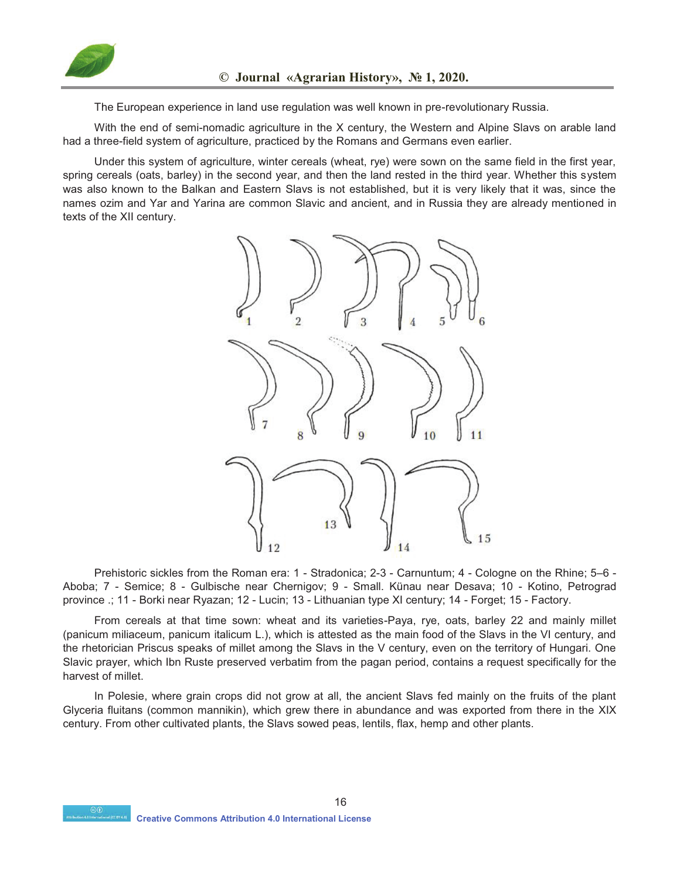

The European experience in land use regulation was well known in pre-revolutionary Russia.

With the end of semi-nomadic agriculture in the X century, the Western and Alpine Slavs on arable land had a three-field system of agriculture, practiced by the Romans and Germans even earlier.

Under this system of agriculture, winter cereals (wheat, rye) were sown on the same field in the first year, spring cereals (oats, barley) in the second year, and then the land rested in the third year. Whether this system was also known to the Balkan and Eastern Slavs is not established, but it is very likely that it was, since the names ozim and Yar and Yarina are common Slavic and ancient, and in Russia they are already mentioned in texts of the XII century.



Prehistoric sickles from the Roman era: 1 - Stradonica; 2-3 - Carnuntum; 4 - Cologne on the Rhine; 5–6 - Aboba; 7 - Semice; 8 - Gulbische near Chernigov; 9 - Small. Künau near Desava; 10 - Kotino, Petrograd province .; 11 - Borki near Ryazan; 12 - Lucin; 13 - Lithuanian type XI century; 14 - Forget; 15 - Factory.

From cereals at that time sown: wheat and its varieties-Paya, rye, oats, barley 22 and mainly millet (panicum miliaceum, panicum italicum L.), which is attested as the main food of the Slavs in the VI century, and the rhetorician Priscus speaks of millet among the Slavs in the V century, even on the territory of Hungari. One Slavic prayer, which Ibn Ruste preserved verbatim from the pagan period, contains a request specifically for the harvest of millet.

In Polesie, where grain crops did not grow at all, the ancient Slavs fed mainly on the fruits of the plant Glyceria fluitans (common mannikin), which grew there in abundance and was exported from there in the XIX century. From other cultivated plants, the Slavs sowed peas, lentils, flax, hemp and other plants.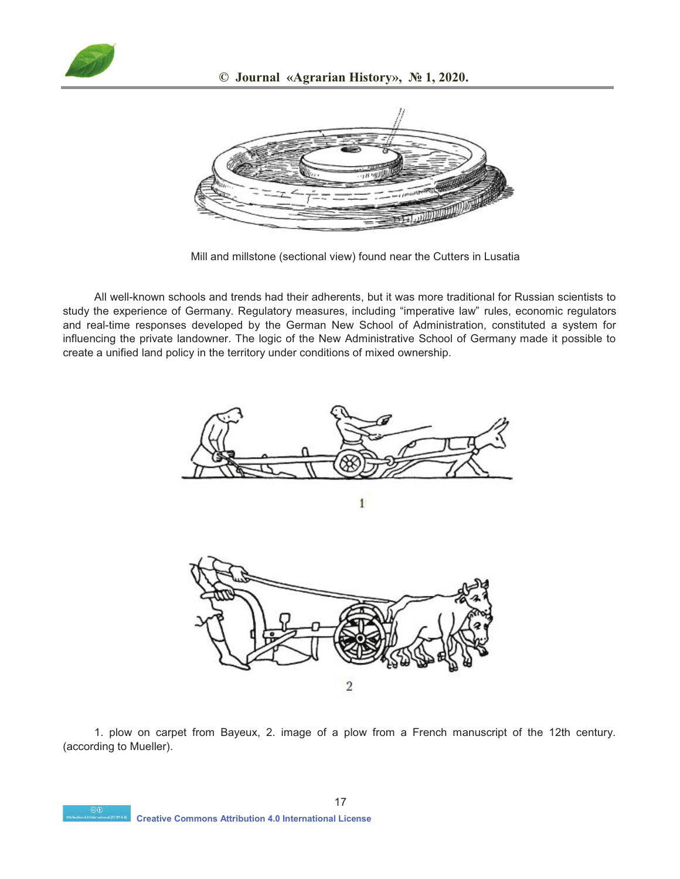



Mill and millstone (sectional view) found near the Cutters in Lusatia

All well-known schools and trends had their adherents, but it was more traditional for Russian scientists to study the experience of Germany. Regulatory measures, including "imperative law" rules, economic regulators and real-time responses developed by the German New School of Administration, constituted a system for influencing the private landowner. The logic of the New Administrative School of Germany made it possible to create a unified land policy in the territory under conditions of mixed ownership.





1. plow on carpet from Bayeux, 2. image of a plow from a French manuscript of the 12th century. (according to Mueller).

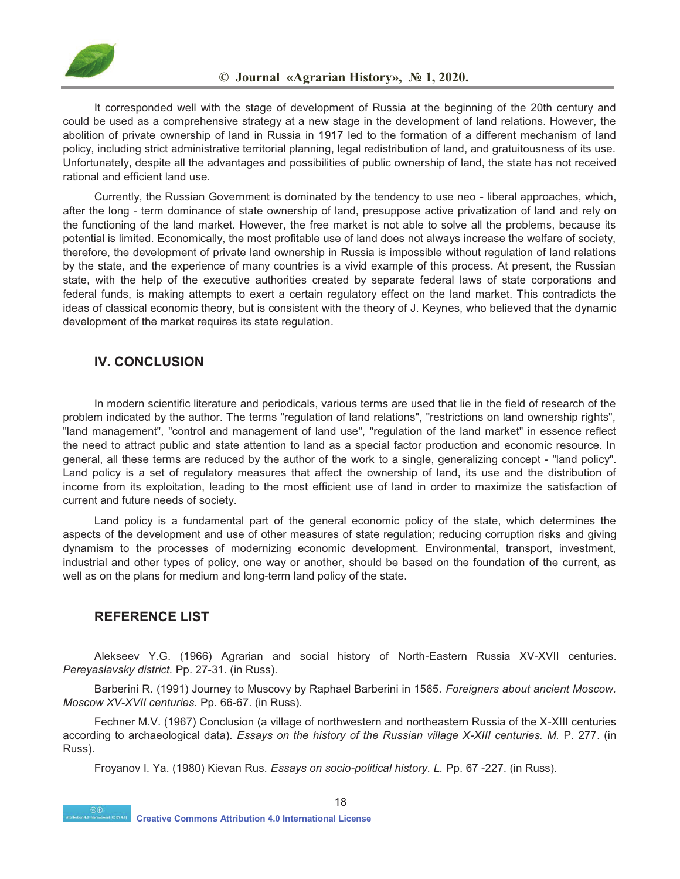

It corresponded well with the stage of development of Russia at the beginning of the 20th century and could be used as a comprehensive strategy at a new stage in the development of land relations. However, the abolition of private ownership of land in Russia in 1917 led to the formation of a different mechanism of land policy, including strict administrative territorial planning, legal redistribution of land, and gratuitousness of its use. Unfortunately, despite all the advantages and possibilities of public ownership of land, the state has not received rational and efficient land use.

Currently, the Russian Government is dominated by the tendency to use neo - liberal approaches, which, after the long - term dominance of state ownership of land, presuppose active privatization of land and rely on the functioning of the land market. However, the free market is not able to solve all the problems, because its potential is limited. Economically, the most profitable use of land does not always increase the welfare of society, therefore, the development of private land ownership in Russia is impossible without regulation of land relations by the state, and the experience of many countries is a vivid example of this process. At present, the Russian state, with the help of the executive authorities created by separate federal laws of state corporations and federal funds, is making attempts to exert a certain regulatory effect on the land market. This contradicts the ideas of classical economic theory, but is consistent with the theory of J. Keynes, who believed that the dynamic development of the market requires its state regulation.

#### **IV. CONCLUSION**

In modern scientific literature and periodicals, various terms are used that lie in the field of research of the problem indicated by the author. The terms "regulation of land relations", "restrictions on land ownership rights", "land management", "control and management of land use", "regulation of the land market" in essence reflect the need to attract public and state attention to land as a special factor production and economic resource. In general, all these terms are reduced by the author of the work to a single, generalizing concept - "land policy". Land policy is a set of regulatory measures that affect the ownership of land, its use and the distribution of income from its exploitation, leading to the most efficient use of land in order to maximize the satisfaction of current and future needs of society.

Land policy is a fundamental part of the general economic policy of the state, which determines the aspects of the development and use of other measures of state regulation; reducing corruption risks and giving dynamism to the processes of modernizing economic development. Environmental, transport, investment, industrial and other types of policy, one way or another, should be based on the foundation of the current, as well as on the plans for medium and long-term land policy of the state.

## **REFERENCE LIST**

Alekseev Y.G. (1966) Agrarian and social history of North-Eastern Russia XV-XVII centuries. *Pereyaslavsky district.* Pp. 27-31. (in Russ).

Barberini R. (1991) Journey to Muscovy by Raphael Barberini in 1565. *Foreigners about ancient Moscow. Moscow XV-XVII centuries.* Pp. 66-67. (in Russ).

Fechner M.V. (1967) Conclusion (a village of northwestern and northeastern Russia of the X-XIII centuries according to archaeological data). *Essays on the history of the Russian village X-XIII centuries. M. P. 277.* (in Russ).

Froyanov I. Ya. (1980) Kievan Rus*. Essays on socio-political history. L.* Pp. 67 -227. (in Russ).

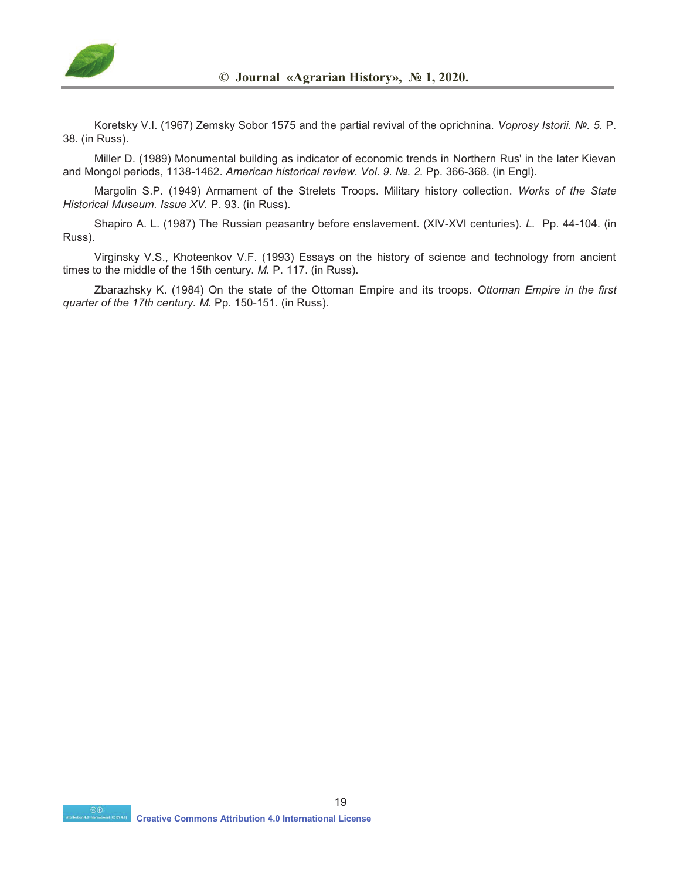

Koretsky V.I. (1967) Zemsky Sobor 1575 and the partial revival of the oprichnina. *Voprosy Istorii. №. 5.* P. 38. (in Russ).

Miller D. (1989) Monumental building as indicator of economic trends in Northern Rus' in the later Kievan and Mongol periods, 1138-1462. *American historical review. Vol. 9. №. 2.* Pp. 366-368. (in Engl).

Margolin S.P. (1949) Armament of the Strelets Troops. Military history collection. *Works of the State Historical Museum. Issue XV.* P. 93. (in Russ).

Shapiro A. L. (1987) The Russian peasantry before enslavement. (XIV-XVI centuries). *L.* Pp. 44-104. (in Russ).

Virginsky V.S., Khoteenkov V.F. (1993) Essays on the history of science and technology from ancient times to the middle of the 15th century. *M.* P. 117. (in Russ).

Zbarazhsky K. (1984) On the state of the Ottoman Empire and its troops. *Ottoman Empire in the first quarter of the 17th century. M. Pp. 150-151. (in Russ).*